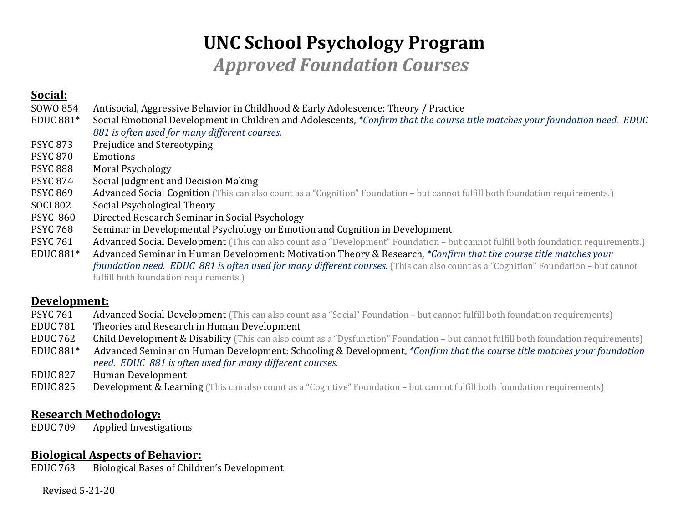# **UNC School Psychology Program**

*Approved Foundation Courses*

# **Social:**

- SOWO 854 Antisocial, Aggressive Behavior in Childhood & Early Adolescence: Theory / Practice<br>EDUC 881\* Social Emotional Development in Children and Adolescents. *\*Confirm that the course*
- Social Emotional Development in Children and Adolescents, *\*Confirm that the course title matches your foundation need. EDUC 881 is often used for many different courses.*
- PSYC 873 Prejudice and Stereotyping<br>PSYC 870 Emotions
- **PSYC 870<br>PSYC 888**
- PSYC 888 Moral Psychology<br>PSYC 874 Social Iudgment at
- **PSYC 874** Social Judgment and Decision Making<br>PSYC 869 Advanced Social Cognition (This can also
- PSYC 869 Advanced Social Cognition (This can also count as a "Cognition" Foundation but cannot fulfill both foundation requirements.)<br>SOCI 802 Social Psychological Theory
- SOCI 802 Social Psychological Theory<br>PSYC 860 Directed Research Seminar i
- PSYC 860 Directed Research Seminar in Social Psychology<br>PSYC 768 Seminar in Developmental Psychology on Emoti
- PSYC 768 Seminar in Developmental Psychology on Emotion and Cognition in Development<br>PSYC 761 Advanced Social Development (This can also count as a "Development" Foundation bu
- PSYC 761 Advanced Social Development (This can also count as a "Development" Foundation but cannot fulfill both foundation requirements.)<br>EDUC 881\* Advanced Seminar in Human Development: Motivation Theory & Research. \*Co
- Advanced Seminar in Human Development: Motivation Theory & Research, *\*Confirm that the course title matches your foundation need. EDUC 881 is often used for many different courses.* (This can also count as a "Cognition" Foundation – but cannot fulfill both foundation requirements.)

## **Development:**

- PSYC 761 Advanced Social Development (This can also count as a "Social" Foundation but cannot fulfill both foundation requirements)<br>EDUC 781 Theories and Research in Human Development
- EDUC 781 Theories and Research in Human Development<br>EDUC 762 Child Development & Disability (This can also count
- EDUC 762 Child Development & Disability (This can also count as a "Dysfunction" Foundation but cannot fulfill both foundation requirements)<br>EDUC 881\* Advanced Seminar on Human Development: Schooling & Development. \*Confi
- Advanced Seminar on Human Development: Schooling & Development, *\*Confirm that the course title matches your foundation need. EDUC 881 is often used for many different courses.*
- EDUC 827 Human Development<br>EDUC 825 Development & Learn
- **Development & Learning** (This can also count as a "Cognitive" Foundation but cannot fulfill both foundation requirements)

## **Research Methodology:**

EDUC 709 Applied Investigations

## **Biological Aspects of Behavior:**

EDUC 763 Biological Bases of Children's Development

Revised 5-21-20